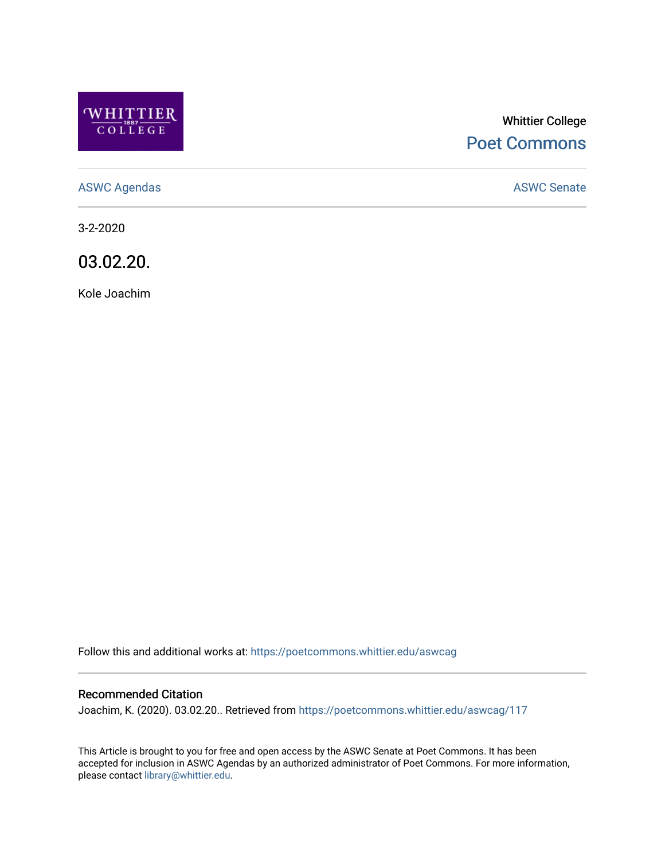

# Whittier College [Poet Commons](https://poetcommons.whittier.edu/)

[ASWC Agendas](https://poetcommons.whittier.edu/aswcag) **ASWC Senate** 

3-2-2020

03.02.20.

Kole Joachim

Follow this and additional works at: [https://poetcommons.whittier.edu/aswcag](https://poetcommons.whittier.edu/aswcag?utm_source=poetcommons.whittier.edu%2Faswcag%2F117&utm_medium=PDF&utm_campaign=PDFCoverPages) 

## Recommended Citation

Joachim, K. (2020). 03.02.20.. Retrieved from [https://poetcommons.whittier.edu/aswcag/117](https://poetcommons.whittier.edu/aswcag/117?utm_source=poetcommons.whittier.edu%2Faswcag%2F117&utm_medium=PDF&utm_campaign=PDFCoverPages) 

This Article is brought to you for free and open access by the ASWC Senate at Poet Commons. It has been accepted for inclusion in ASWC Agendas by an authorized administrator of Poet Commons. For more information, please contact [library@whittier.edu](mailto:library@whittier.edu).